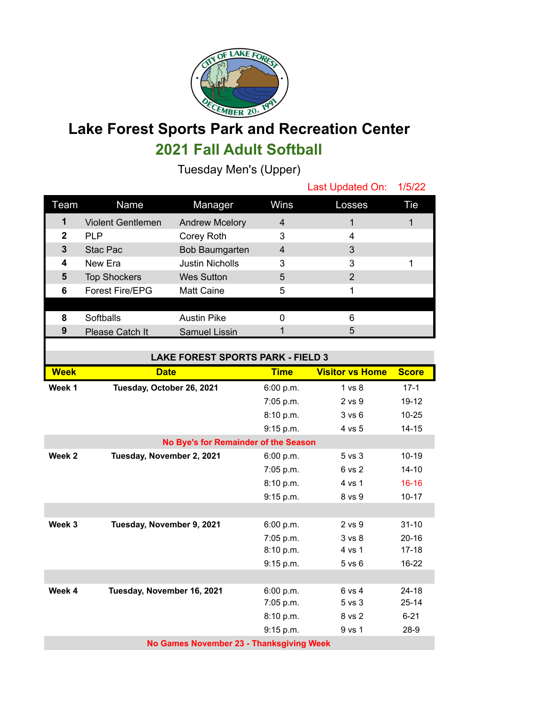

## **Lake Forest Sports Park and Recreation Center 2021 Fall Adult Softball**

Tuesday Men's (Upper)

|             |                          |                        |                | Last Updated On: 1/5/22 |     |
|-------------|--------------------------|------------------------|----------------|-------------------------|-----|
| Team        | Name                     | Manager                | Wins           | Losses                  | Tie |
| 1           | <b>Violent Gentlemen</b> | <b>Andrew Mcelory</b>  | $\overline{4}$ |                         |     |
| $\mathbf 2$ | <b>PLP</b>               | Corey Roth             | 3              | 4                       |     |
| 3           | Stac Pac                 | Bob Baumgarten         | $\overline{4}$ | 3                       |     |
| 4           | New Era                  | <b>Justin Nicholls</b> | 3              | 3                       |     |
| 5           | <b>Top Shockers</b>      | <b>Wes Sutton</b>      | 5              | 2                       |     |
| 6           | <b>Forest Fire/EPG</b>   | <b>Matt Caine</b>      | 5              |                         |     |
|             |                          |                        |                |                         |     |
| 8           | Softballs                | <b>Austin Pike</b>     |                | 6                       |     |
| 9           | Please Catch It          | Samuel Lissin          |                | 5                       |     |
|             |                          |                        |                |                         |     |

| <b>LAKE FOREST SPORTS PARK - FIELD 3</b> |                                      |             |                        |              |  |
|------------------------------------------|--------------------------------------|-------------|------------------------|--------------|--|
| <b>Week</b>                              | <b>Date</b>                          | <b>Time</b> | <b>Visitor vs Home</b> | <b>Score</b> |  |
| Week 1                                   | Tuesday, October 26, 2021            | 6:00 p.m.   | $1 \text{ vs } 8$      | $17-1$       |  |
|                                          |                                      | 7:05 p.m.   | $2$ vs $9$             | $19 - 12$    |  |
|                                          |                                      | 8:10 p.m.   | 3 v s 6                | $10 - 25$    |  |
|                                          |                                      | 9:15 p.m.   | 4 vs 5                 | $14 - 15$    |  |
|                                          | No Bye's for Remainder of the Season |             |                        |              |  |
| Week 2                                   | Tuesday, November 2, 2021            | 6:00 p.m.   | $5$ vs $3$             | $10 - 19$    |  |
|                                          |                                      | 7:05 p.m.   | 6 vs 2                 | $14 - 10$    |  |
|                                          |                                      | 8:10 p.m.   | 4 vs 1                 | $16 - 16$    |  |
|                                          |                                      | 9:15 p.m.   | 8 vs 9                 | $10 - 17$    |  |
|                                          |                                      |             |                        |              |  |
| Week 3                                   | Tuesday, November 9, 2021            | 6:00 p.m.   | $2$ vs $9$             | $31 - 10$    |  |
|                                          |                                      | 7:05 p.m.   | 3 vs 8                 | $20 - 16$    |  |
|                                          |                                      | 8:10 p.m.   | 4 vs 1                 | $17 - 18$    |  |
|                                          |                                      | 9:15 p.m.   | $5$ vs $6$             | $16 - 22$    |  |
|                                          |                                      |             |                        |              |  |
| Week 4                                   | Tuesday, November 16, 2021           | 6:00 p.m.   | $6$ vs $4$             | $24 - 18$    |  |
|                                          |                                      | 7:05 p.m.   | $5$ vs $3$             | $25 - 14$    |  |
|                                          |                                      | 8:10 p.m.   | 8 vs 2                 | $6 - 21$     |  |
|                                          |                                      | 9:15 p.m.   | 9 vs 1                 | $28-9$       |  |
| No Games November 23 - Thanksgiving Week |                                      |             |                        |              |  |